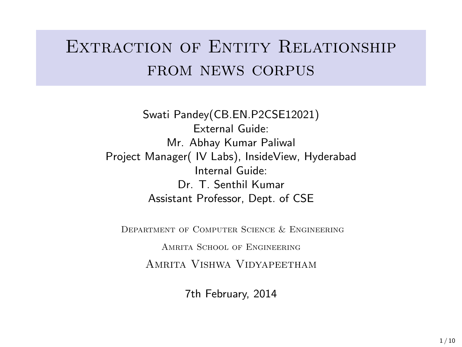## EXTRACTION OF ENTITY RELATIONSHIP from news corpus

Swati Pandey(CB.EN.P2CSE12021) External Guide: Mr. Abhay Kumar Paliwal Project Manager( IV Labs), InsideView, Hyderabad Internal Guide: Dr. T. Senthil Kumar Assistant Professor, Dept. of CSE

Department of Computer Science & Engineering

Amrita School of Engineering Amrita Vishwa Vidyapeetham

7th February, 2014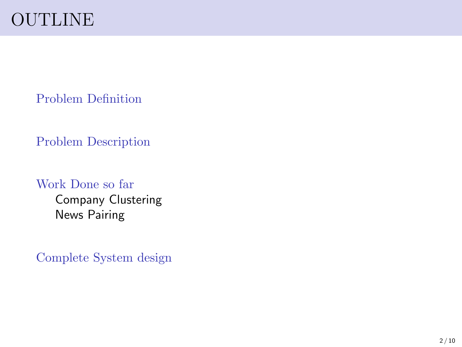[Problem Definition](#page-2-0)

[Problem Description](#page-3-0)

[Work Done so far](#page-4-0)

[Company Clustering](#page-4-0) [News Pairing](#page-4-0)

[Complete System design](#page-7-0)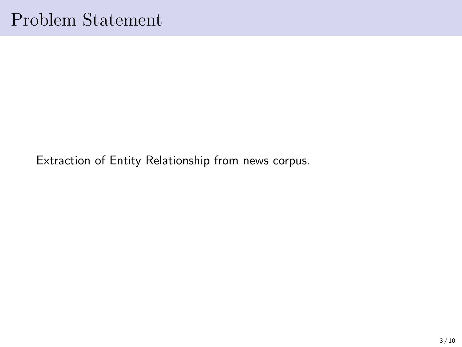<span id="page-2-0"></span>Extraction of Entity Relationship from news corpus.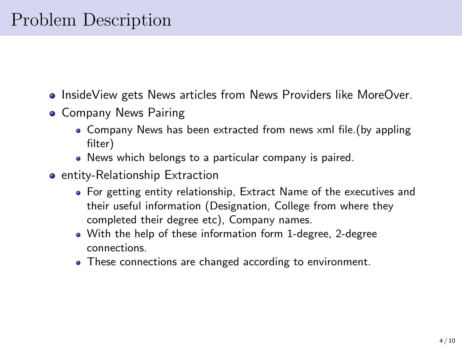### <span id="page-3-0"></span>Problem Description

- InsideView gets News articles from News Providers like MoreOver.
- Company News Pairing
	- Company News has been extracted from news xml file.(by appling filter)
	- News which belongs to a particular company is paired.
- **•** entity-Relationship Extraction
	- For getting entity relationship, Extract Name of the executives and their useful information (Designation, College from where they completed their degree etc), Company names.
	- With the help of these information form 1-degree, 2-degree connections.
	- These connections are changed according to environment.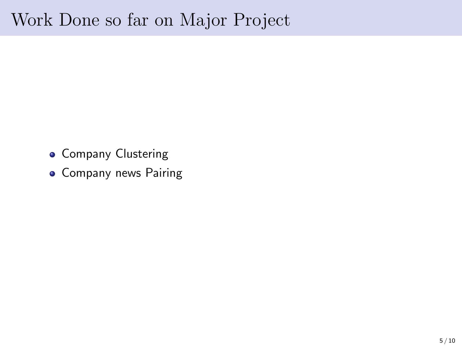### <span id="page-4-0"></span>Work Done so far on Major Project

- **Company Clustering**
- **Company news Pairing**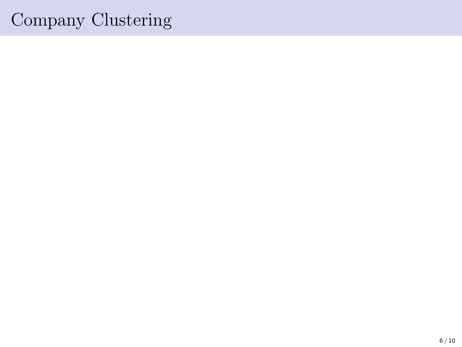# Company Clustering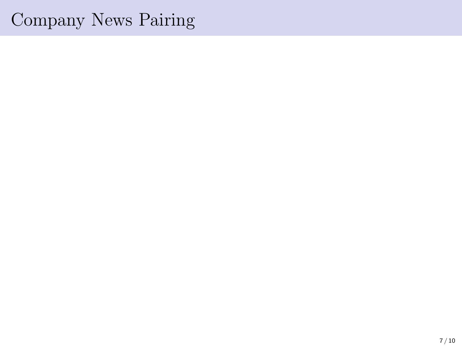### Company News Pairing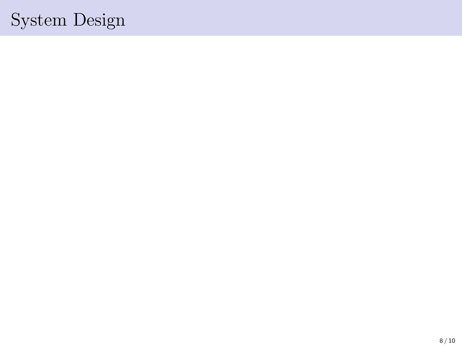# <span id="page-7-0"></span>System Design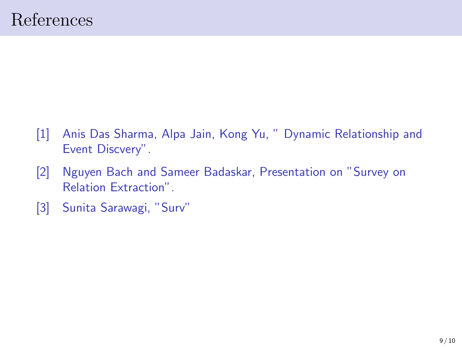- [1] Anis Das Sharma, Alpa Jain, Kong Yu, " Dynamic Relationship and Event Discvery".
- [2] Nguyen Bach and Sameer Badaskar, Presentation on "Survey on Relation Extraction".
- [3] Sunita Sarawagi, "Surv"